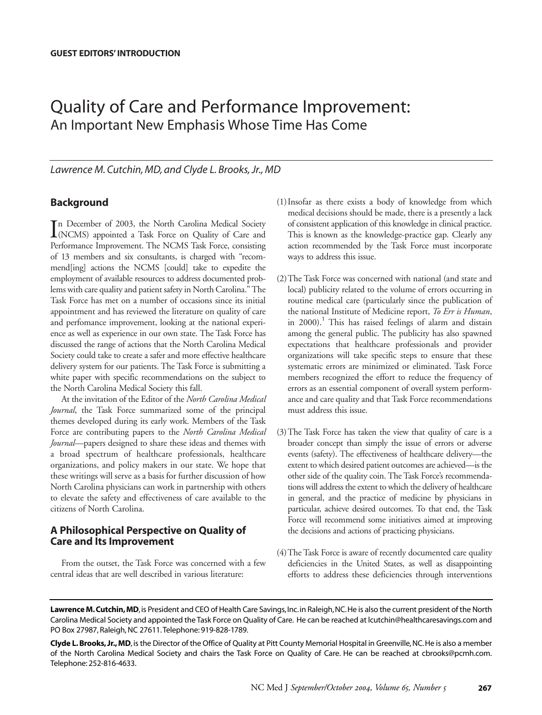# Quality of Care and Performance Improvement: An Important New Emphasis Whose Time Has Come

*Lawrence M. Cutchin, MD, and Clyde L. Brooks, Jr., MD*

## **Background**

In December of 2003, the North Carolina Medical Society<br>(NCMS) appointed a Task Force on Quality of Care and (NCMS) appointed a Task Force on Quality of Care and Performance Improvement. The NCMS Task Force, consisting of 13 members and six consultants, is charged with "recommend[ing] actions the NCMS [could] take to expedite the employment of available resources to address documented problems with care quality and patient safety in North Carolina." The Task Force has met on a number of occasions since its initial appointment and has reviewed the literature on quality of care and perfomance improvement, looking at the national experience as well as experience in our own state. The Task Force has discussed the range of actions that the North Carolina Medical Society could take to create a safer and more effective healthcare delivery system for our patients. The Task Force is submitting a white paper with specific recommendations on the subject to the North Carolina Medical Society this fall.

At the invitation of the Editor of the *North Carolina Medical Journal*, the Task Force summarized some of the principal themes developed during its early work. Members of the Task Force are contributing papers to the *North Carolina Medical Journal*—papers designed to share these ideas and themes with a broad spectrum of healthcare professionals, healthcare organizations, and policy makers in our state. We hope that these writings will serve as a basis for further discussion of how North Carolina physicians can work in partnership with others to elevate the safety and effectiveness of care available to the citizens of North Carolina.

## **A Philosophical Perspective on Quality of Care and Its Improvement**

From the outset, the Task Force was concerned with a few central ideas that are well described in various literature:

- (1)Insofar as there exists a body of knowledge from which medical decisions should be made, there is a presently a lack of consistent application of this knowledge in clinical practice. This is known as the knowledge-practice gap. Clearly any action recommended by the Task Force must incorporate ways to address this issue.
- (2)The Task Force was concerned with national (and state and local) publicity related to the volume of errors occurring in routine medical care (particularly since the publication of the national Institute of Medicine report, *To Err is Human*, in  $2000$ .<sup>1</sup> This has raised feelings of alarm and distain among the general public. The publicity has also spawned expectations that healthcare professionals and provider organizations will take specific steps to ensure that these systematic errors are minimized or eliminated. Task Force members recognized the effort to reduce the frequency of errors as an essential component of overall system performance and care quality and that Task Force recommendations must address this issue.
- (3)The Task Force has taken the view that quality of care is a broader concept than simply the issue of errors or adverse events (safety). The effectiveness of healthcare delivery—the extent to which desired patient outcomes are achieved—is the other side of the quality coin. The Task Force's recommendations will address the extent to which the delivery of healthcare in general, and the practice of medicine by physicians in particular, achieve desired outcomes. To that end, the Task Force will recommend some initiatives aimed at improving the decisions and actions of practicing physicians.
- (4)The Task Force is aware of recently documented care quality deficiencies in the United States, as well as disappointing efforts to address these deficiencies through interventions

**Clyde L. Brooks, Jr., MD**, is the Director of the Office of Quality at Pitt County Memorial Hospital in Greenville, NC. He is also a member of the North Carolina Medical Society and chairs the Task Force on Quality of Care. He can be reached at cbrooks@pcmh.com. Telephone: 252-816-4633.

Lawrence M. Cutchin, MD, is President and CEO of Health Care Savings, Inc. in Raleigh, NC. He is also the current president of the North Carolina Medical Society and appointed the Task Force on Quality of Care. He can be reached at lcutchin@healthcaresavings.com and PO Box 27987, Raleigh, NC 27611.Telephone: 919-828-1789.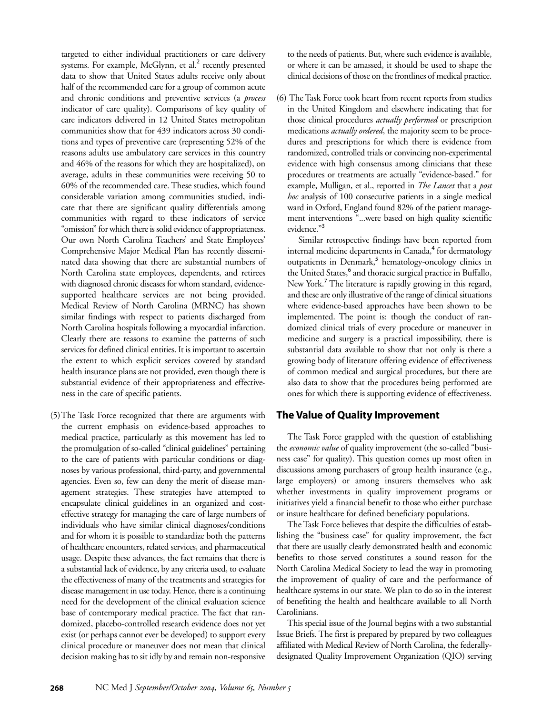targeted to either individual practitioners or care delivery systems. For example, McGlynn, et al.<sup>2</sup> recently presented data to show that United States adults receive only about half of the recommended care for a group of common acute and chronic conditions and preventive services (a *process* indicator of care quality). Comparisons of key quality of care indicators delivered in 12 United States metropolitan communities show that for 439 indicators across 30 conditions and types of preventive care (representing 52% of the reasons adults use ambulatory care services in this country and 46% of the reasons for which they are hospitalized), on average, adults in these communities were receiving 50 to 60% of the recommended care. These studies, which found considerable variation among communities studied, indicate that there are significant quality differentials among communities with regard to these indicators of service "omission" for which there is solid evidence of appropriateness. Our own North Carolina Teachers' and State Employees' Comprehensive Major Medical Plan has recently disseminated data showing that there are substantial numbers of North Carolina state employees, dependents, and retirees with diagnosed chronic diseases for whom standard, evidencesupported healthcare services are not being provided. Medical Review of North Carolina (MRNC) has shown similar findings with respect to patients discharged from North Carolina hospitals following a myocardial infarction. Clearly there are reasons to examine the patterns of such services for defined clinical entities. It is important to ascertain the extent to which explicit services covered by standard health insurance plans are not provided, even though there is substantial evidence of their appropriateness and effectiveness in the care of specific patients.

(5)The Task Force recognized that there are arguments with the current emphasis on evidence-based approaches to medical practice, particularly as this movement has led to the promulgation of so-called "clinical guidelines" pertaining to the care of patients with particular conditions or diagnoses by various professional, third-party, and governmental agencies. Even so, few can deny the merit of disease management strategies. These strategies have attempted to encapsulate clinical guidelines in an organized and costeffective strategy for managing the care of large numbers of individuals who have similar clinical diagnoses/conditions and for whom it is possible to standardize both the patterns of healthcare encounters, related services, and pharmaceutical usage. Despite these advances, the fact remains that there is a substantial lack of evidence, by any criteria used, to evaluate the effectiveness of many of the treatments and strategies for disease management in use today. Hence, there is a continuing need for the development of the clinical evaluation science base of contemporary medical practice. The fact that randomized, placebo-controlled research evidence does not yet exist (or perhaps cannot ever be developed) to support every clinical procedure or maneuver does not mean that clinical decision making has to sit idly by and remain non-responsive

to the needs of patients. But, where such evidence is available, or where it can be amassed, it should be used to shape the clinical decisions of those on the frontlines of medical practice.

(6) The Task Force took heart from recent reports from studies in the United Kingdom and elsewhere indicating that for those clinical procedures *actually performed* or prescription medications *actually ordered*, the majority seem to be procedures and prescriptions for which there is evidence from randomized, controlled trials or convincing non-experimental evidence with high consensus among clinicians that these procedures or treatments are actually "evidence-based." for example, Mulligan, et al., reported in *The Lancet* that a *post hoc* analysis of 100 consecutive patients in a single medical ward in Oxford, England found 82% of the patient management interventions "...were based on high quality scientific evidence."<sup>3</sup>

Similar retrospective findings have been reported from internal medicine departments in Canada,<sup>4</sup> for dermatology outpatients in Denmark,<sup>5</sup> hematology-oncology clinics in the United States,<sup>6</sup> and thoracic surgical practice in Buffallo, New York.<sup>7</sup> The literature is rapidly growing in this regard, and these are only illustrative of the range of clinical situations where evidence-based approaches have been shown to be implemented. The point is: though the conduct of randomized clinical trials of every procedure or maneuver in medicine and surgery is a practical impossibility, there is substantial data available to show that not only is there a growing body of literature offering evidence of effectiveness of common medical and surgical procedures, but there are also data to show that the procedures being performed are ones for which there is supporting evidence of effectiveness.

#### **The Value of Quality Improvement**

The Task Force grappled with the question of establishing the *economic value* of quality improvement (the so-called "business case" for quality). This question comes up most often in discussions among purchasers of group health insurance (e.g., large employers) or among insurers themselves who ask whether investments in quality improvement programs or initiatives yield a financial benefit to those who either purchase or insure healthcare for defined beneficiary populations.

The Task Force believes that despite the difficulties of establishing the "business case" for quality improvement, the fact that there are usually clearly demonstrated health and economic benefits to those served constitutes a sound reason for the North Carolina Medical Society to lead the way in promoting the improvement of quality of care and the performance of healthcare systems in our state. We plan to do so in the interest of benefiting the health and healthcare available to all North Carolinians.

This special issue of the Journal begins with a two substantial Issue Briefs. The first is prepared by prepared by two colleagues affiliated with Medical Review of North Carolina, the federallydesignated Quality Improvement Organization (QIO) serving